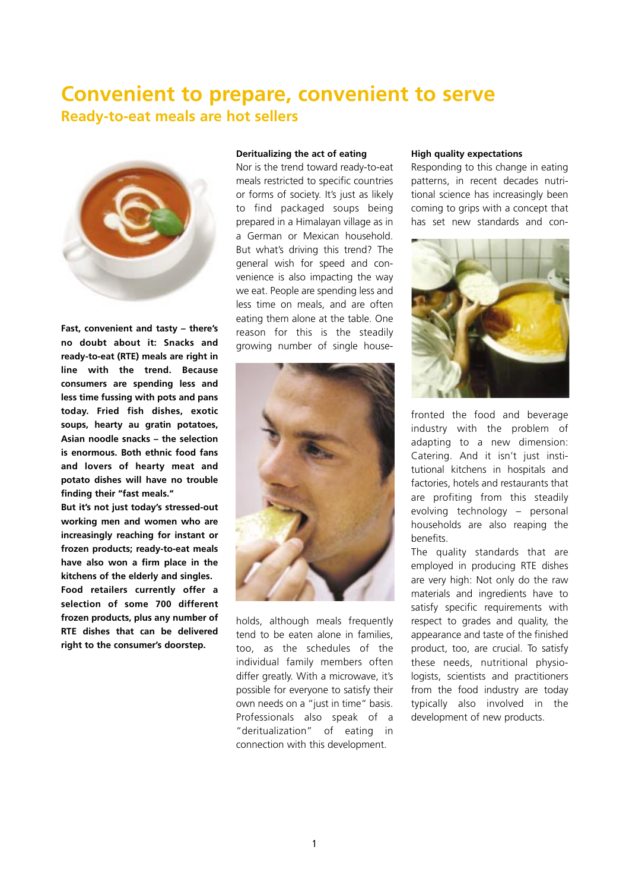## **Convenient to prepare, convenient to serve Ready-to-eat meals are hot sellers**



**Fast, convenient and tasty – there's no doubt about it: Snacks and ready-to-eat (RTE) meals are right in line with the trend. Because consumers are spending less and less time fussing with pots and pans today. Fried fish dishes, exotic soups, hearty au gratin potatoes, Asian noodle snacks – the selection is enormous. Both ethnic food fans and lovers of hearty meat and potato dishes will have no trouble finding their "fast meals."** 

**But it's not just today's stressed-out working men and women who are increasingly reaching for instant or frozen products; ready-to-eat meals have also won a firm place in the kitchens of the elderly and singles. Food retailers currently offer a selection of some 700 different frozen products, plus any number of RTE dishes that can be delivered right to the consumer's doorstep.** 

## **Deritualizing the act of eating**

Nor is the trend toward ready-to-eat meals restricted to specific countries or forms of society. It's just as likely to find packaged soups being prepared in a Himalayan village as in a German or Mexican household. But what's driving this trend? The general wish for speed and convenience is also impacting the way we eat. People are spending less and less time on meals, and are often eating them alone at the table. One reason for this is the steadily growing number of single house-



holds, although meals frequently tend to be eaten alone in families, too, as the schedules of the individual family members often differ greatly. With a microwave, it's possible for everyone to satisfy their own needs on a "just in time" basis. Professionals also speak of a "deritualization" of eating in connection with this development.

## **High quality expectations**

Responding to this change in eating patterns, in recent decades nutritional science has increasingly been coming to grips with a concept that has set new standards and con-



fronted the food and beverage industry with the problem of adapting to a new dimension: Catering. And it isn't just institutional kitchens in hospitals and factories, hotels and restaurants that are profiting from this steadily evolving technology – personal households are also reaping the benefits.

The quality standards that are employed in producing RTE dishes are very high: Not only do the raw materials and ingredients have to satisfy specific requirements with respect to grades and quality, the appearance and taste of the finished product, too, are crucial. To satisfy these needs, nutritional physiologists, scientists and practitioners from the food industry are today typically also involved in the development of new products.